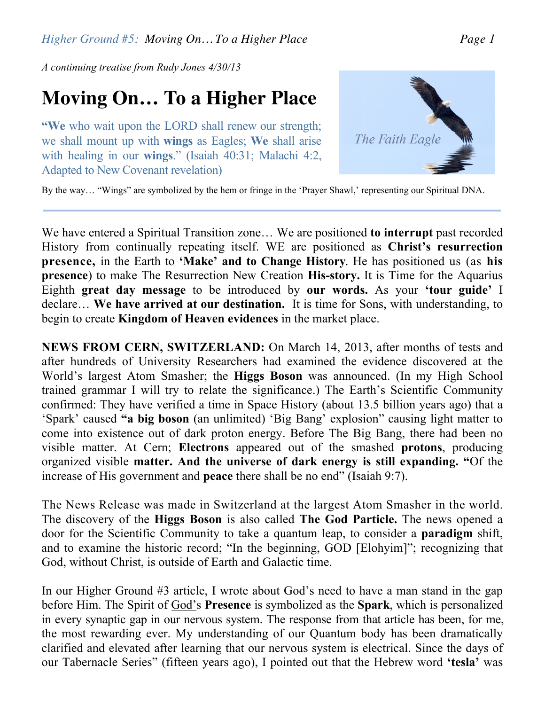*Higher Ground #5: Moving On... To a Higher Place Page 1* 

*A continuing treatise from Rudy Jones 4/30/13* 

## **Moving On… To a Higher Place**

**"We** who wait upon the LORD shall renew our strength; we shall mount up with **wings** as Eagles; **We** shall arise with healing in our **wings**." (Isaiah 40:31; Malachi 4:2, Adapted to New Covenant revelation)



By the way… "Wings" are symbolized by the hem or fringe in the 'Prayer Shawl,' representing our Spiritual DNA.

We have entered a Spiritual Transition zone… We are positioned **to interrupt** past recorded History from continually repeating itself. WE are positioned as **Christ's resurrection presence,** in the Earth to **'Make' and to Change History**. He has positioned us (as **his presence**) to make The Resurrection New Creation **His-story.** It is Time for the Aquarius Eighth **great day message** to be introduced by **our words.** As your **'tour guide'** I declare… **We have arrived at our destination.** It is time for Sons, with understanding, to begin to create **Kingdom of Heaven evidences** in the market place.

**NEWS FROM CERN, SWITZERLAND:** On March 14, 2013, after months of tests and after hundreds of University Researchers had examined the evidence discovered at the World's largest Atom Smasher; the **Higgs Boson** was announced. (In my High School trained grammar I will try to relate the significance.) The Earth's Scientific Community confirmed: They have verified a time in Space History (about 13.5 billion years ago) that a 'Spark' caused **"a big boson** (an unlimited) 'Big Bang' explosion" causing light matter to come into existence out of dark proton energy. Before The Big Bang, there had been no visible matter. At Cern; **Electrons** appeared out of the smashed **protons**, producing organized visible **matter. And the universe of dark energy is still expanding. "**Of the increase of His government and **peace** there shall be no end" (Isaiah 9:7).

The News Release was made in Switzerland at the largest Atom Smasher in the world. The discovery of the **Higgs Boson** is also called **The God Particle.** The news opened a door for the Scientific Community to take a quantum leap, to consider a **paradigm** shift, and to examine the historic record; "In the beginning, GOD [Elohyim]"; recognizing that God, without Christ, is outside of Earth and Galactic time.

In our Higher Ground #3 article, I wrote about God's need to have a man stand in the gap before Him. The Spirit of God's **Presence** is symbolized as the **Spark**, which is personalized in every synaptic gap in our nervous system. The response from that article has been, for me, the most rewarding ever. My understanding of our Quantum body has been dramatically clarified and elevated after learning that our nervous system is electrical. Since the days of our Tabernacle Series" (fifteen years ago), I pointed out that the Hebrew word **'tesla'** was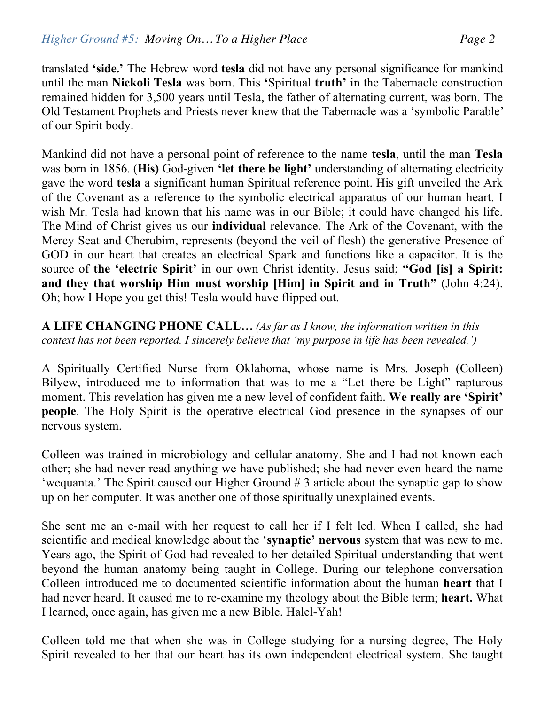translated **'side.'** The Hebrew word **tesla** did not have any personal significance for mankind until the man **Nickoli Tesla** was born. This **'**Spiritual **truth'** in the Tabernacle construction remained hidden for 3,500 years until Tesla, the father of alternating current, was born. The Old Testament Prophets and Priests never knew that the Tabernacle was a 'symbolic Parable' of our Spirit body.

Mankind did not have a personal point of reference to the name **tesla**, until the man **Tesla** was born in 1856. (**His)** God-given **'let there be light'** understanding of alternating electricity gave the word **tesla** a significant human Spiritual reference point. His gift unveiled the Ark of the Covenant as a reference to the symbolic electrical apparatus of our human heart. I wish Mr. Tesla had known that his name was in our Bible; it could have changed his life. The Mind of Christ gives us our **individual** relevance. The Ark of the Covenant, with the Mercy Seat and Cherubim, represents (beyond the veil of flesh) the generative Presence of GOD in our heart that creates an electrical Spark and functions like a capacitor. It is the source of **the 'electric Spirit'** in our own Christ identity. Jesus said; **"God [is] a Spirit: and they that worship Him must worship [Him] in Spirit and in Truth"** (John 4:24). Oh; how I Hope you get this! Tesla would have flipped out.

## **A LIFE CHANGING PHONE CALL…** *(As far as I know, the information written in this context has not been reported. I sincerely believe that 'my purpose in life has been revealed.')*

A Spiritually Certified Nurse from Oklahoma, whose name is Mrs. Joseph (Colleen) Bilyew, introduced me to information that was to me a "Let there be Light" rapturous moment. This revelation has given me a new level of confident faith. **We really are 'Spirit' people**. The Holy Spirit is the operative electrical God presence in the synapses of our nervous system.

Colleen was trained in microbiology and cellular anatomy. She and I had not known each other; she had never read anything we have published; she had never even heard the name 'wequanta.' The Spirit caused our Higher Ground # 3 article about the synaptic gap to show up on her computer. It was another one of those spiritually unexplained events.

She sent me an e-mail with her request to call her if I felt led. When I called, she had scientific and medical knowledge about the '**synaptic' nervous** system that was new to me. Years ago, the Spirit of God had revealed to her detailed Spiritual understanding that went beyond the human anatomy being taught in College. During our telephone conversation Colleen introduced me to documented scientific information about the human **heart** that I had never heard. It caused me to re-examine my theology about the Bible term; **heart.** What I learned, once again, has given me a new Bible. Halel-Yah!

Colleen told me that when she was in College studying for a nursing degree, The Holy Spirit revealed to her that our heart has its own independent electrical system. She taught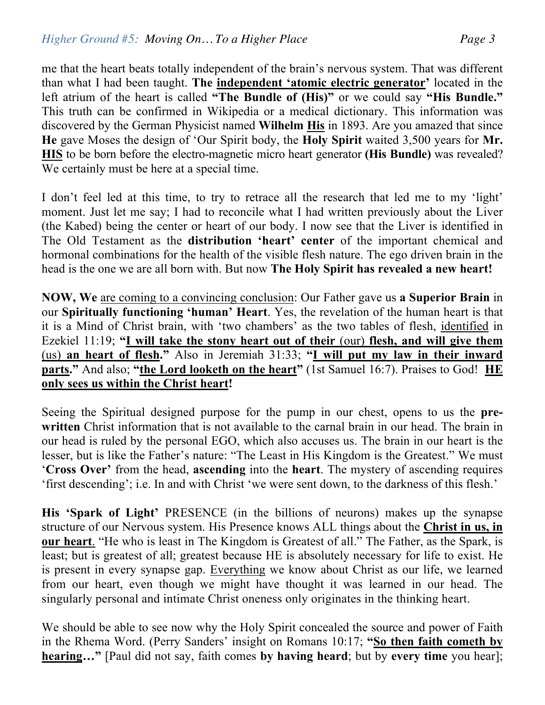me that the heart beats totally independent of the brain's nervous system. That was different than what I had been taught. **The independent 'atomic electric generator'** located in the left atrium of the heart is called **"The Bundle of (His)"** or we could say **"His Bundle."** This truth can be confirmed in Wikipedia or a medical dictionary. This information was discovered by the German Physicist named **Wilhelm His** in 1893. Are you amazed that since **He** gave Moses the design of 'Our Spirit body, the **Holy Spirit** waited 3,500 years for **Mr. HIS** to be born before the electro-magnetic micro heart generator **(His Bundle)** was revealed? We certainly must be here at a special time.

I don't feel led at this time, to try to retrace all the research that led me to my 'light' moment. Just let me say; I had to reconcile what I had written previously about the Liver (the Kabed) being the center or heart of our body. I now see that the Liver is identified in The Old Testament as the **distribution 'heart' center** of the important chemical and hormonal combinations for the health of the visible flesh nature. The ego driven brain in the head is the one we are all born with. But now **The Holy Spirit has revealed a new heart!**

**NOW, We** are coming to a convincing conclusion: Our Father gave us **a Superior Brain** in our **Spiritually functioning 'human' Heart**. Yes, the revelation of the human heart is that it is a Mind of Christ brain, with 'two chambers' as the two tables of flesh, identified in Ezekiel 11:19; **"I will take the stony heart out of their** (our) **flesh, and will give them** (us) **an heart of flesh."** Also in Jeremiah 31:33; **"I will put my law in their inward parts."** And also; **"the Lord looketh on the heart"** (1st Samuel 16:7). Praises to God! **HE only sees us within the Christ heart!**

Seeing the Spiritual designed purpose for the pump in our chest, opens to us the **prewritten** Christ information that is not available to the carnal brain in our head. The brain in our head is ruled by the personal EGO, which also accuses us. The brain in our heart is the lesser, but is like the Father's nature: "The Least in His Kingdom is the Greatest." We must '**Cross Over'** from the head, **ascending** into the **heart**. The mystery of ascending requires 'first descending'; i.e. In and with Christ 'we were sent down, to the darkness of this flesh.'

**His 'Spark of Light'** PRESENCE (in the billions of neurons) makes up the synapse structure of our Nervous system. His Presence knows ALL things about the **Christ in us, in our heart**. "He who is least in The Kingdom is Greatest of all." The Father, as the Spark, is least; but is greatest of all; greatest because HE is absolutely necessary for life to exist. He is present in every synapse gap. Everything we know about Christ as our life, we learned from our heart, even though we might have thought it was learned in our head. The singularly personal and intimate Christ oneness only originates in the thinking heart.

We should be able to see now why the Holy Spirit concealed the source and power of Faith in the Rhema Word. (Perry Sanders' insight on Romans 10:17; **"So then faith cometh by hearing…"** [Paul did not say, faith comes **by having heard**; but by **every time** you hear];